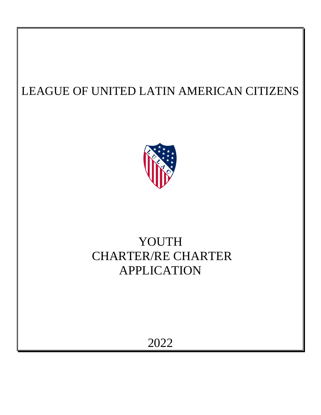

# YOUTH CHARTER/RE CHARTER APPLICATION

2022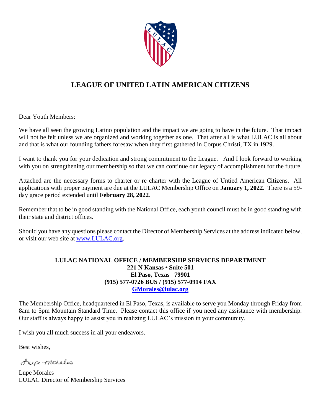

Dear Youth Members:

We have all seen the growing Latino population and the impact we are going to have in the future. That impact will not be felt unless we are organized and working together as one. That after all is what LULAC is all about and that is what our founding fathers foresaw when they first gathered in Corpus Christi, TX in 1929.

I want to thank you for your dedication and strong commitment to the League. And I look forward to working with you on strengthening our membership so that we can continue our legacy of accomplishment for the future.

Attached are the necessary forms to charter or re charter with the League of Untied American Citizens. All applications with proper payment are due at the LULAC Membership Office on **January 1, 2022**. There is a 59 day grace period extended until **February 28, 2022**.

Remember that to be in good standing with the National Office, each youth council must be in good standing with their state and district offices.

Should you have any questions please contact the Director of Membership Services at the address indicated below, or visit our web site at [www.LULAC.org.](http://www.lulac.org/)

#### **LULAC NATIONAL OFFICE / MEMBERSHIP SERVICES DEPARTMENT 221 N Kansas • Suite 501 El Paso, Texas 79901 (915) 577-0726 BUS / (915) 577-0914 FAX [GMorales@lulac.org](mailto:GMorales@lulac.org)**

The Membership Office, headquartered in El Paso, Texas, is available to serve you Monday through Friday from 8am to 5pm Mountain Standard Time. Please contact this office if you need any assistance with membership. Our staff is always happy to assist you in realizing LULAC's mission in your community.

I wish you all much success in all your endeavors.

Best wishes,

Aupe monales

Lupe Morales LULAC Director of Membership Services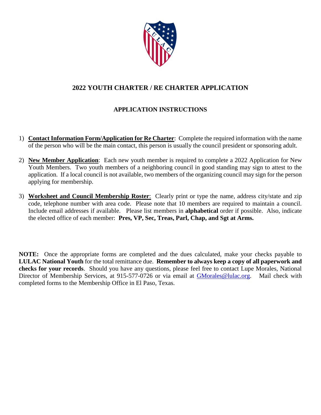

### **2022 YOUTH CHARTER / RE CHARTER APPLICATION**

#### **APPLICATION INSTRUCTIONS**

- 1) **Contact Information Form/Application for Re Charter**: Complete the required information with the name of the person who will be the main contact, this person is usually the council president or sponsoring adult.
- 2) **New Member Application**: Each new youth member is required to complete a 2022 Application for New Youth Members. Two youth members of a neighboring council in good standing may sign to attest to the application. If a local council is not available, two members of the organizing council may sign for the person applying for membership.
- 3) **Worksheet and Council Membership Roster**: Clearly print or type the name, address city/state and zip code, telephone number with area code. Please note that 10 members are required to maintain a council. Include email addresses if available. Please list members in **alphabetical** order if possible. Also, indicate the elected office of each member: **Pres, VP, Sec, Treas, Parl, Chap, and Sgt at Arms.**

**NOTE:** Once the appropriate forms are completed and the dues calculated, make your checks payable to **LULAC National Youth** for the total remittance due. **Remember to always keep a copy of all paperwork and checks for your records**. Should you have any questions, please feel free to contact Lupe Morales, National Director of Membership Services, at 915-577-0726 or via email at [GMorales@lulac.org.](mailto:GMorales@lulac.org) Mail check with completed forms to the Membership Office in El Paso, Texas.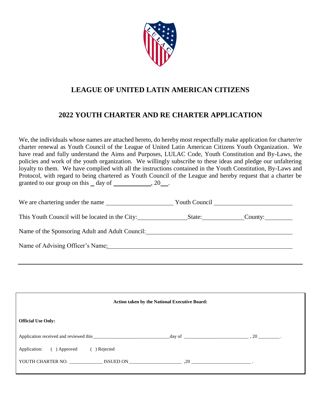

## **2022 YOUTH CHARTER AND RE CHARTER APPLICATION**

We, the individuals whose names are attached hereto, do hereby most respectfully make application for charter/re charter renewal as Youth Council of the League of United Latin American Citizens Youth Organization. We have read and fully understand the Aims and Purposes, LULAC Code, Youth Constitution and By-Laws, the policies and work of the youth organization. We willingly subscribe to these ideas and pledge our unfaltering loyalty to them. We have complied with all the instructions contained in the Youth Constitution, By-Laws and Protocol, with regard to being chartered as Youth Council of the League and hereby request that a charter be granted to our group on this  $\_\text{day}$  of  $\_\text{day}$ , 20 $\_\text{day}$ .

| We are chartering under the name                       |            |
|--------------------------------------------------------|------------|
| This Youth Council will be located in the City: State: | $C$ ounty: |
| Name of the Sponsoring Adult and Adult Council:        |            |
| Name of Advising Officer's Name:                       |            |

| <b>Action taken by the National Executive Board:</b> |  |  |  |
|------------------------------------------------------|--|--|--|
| <b>Official Use Only:</b>                            |  |  |  |
|                                                      |  |  |  |
| Application: ( ) Approved<br>) Rejected              |  |  |  |
| YOUTH CHARTER NO. SISUED ON SEXUED ON 20             |  |  |  |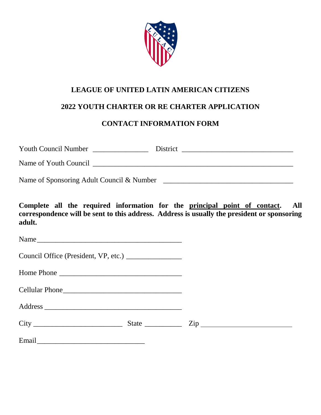

## **2022 YOUTH CHARTER OR RE CHARTER APPLICATION**

## **CONTACT INFORMATION FORM**

| <b>Youth Council Number</b>               | District |
|-------------------------------------------|----------|
| Name of Youth Council                     |          |
| Name of Sponsoring Adult Council & Number |          |

**Complete all the required information for the principal point of contact. All correspondence will be sent to this address. Address is usually the president or sponsoring adult.**

| Name                                                 |  |
|------------------------------------------------------|--|
| Council Office (President, VP, etc.) _______________ |  |
|                                                      |  |
|                                                      |  |
|                                                      |  |
|                                                      |  |
| Email                                                |  |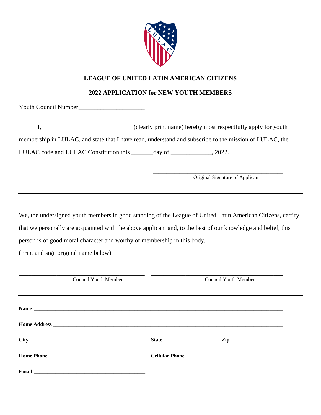

#### **2022 APPLICATION for NEW YOUTH MEMBERS**

Youth Council Number

I, (clearly print name) hereby most respectfully apply for youth membership in LULAC, and state that I have read, understand and subscribe to the mission of LULAC, the LULAC code and LULAC Constitution this \_\_\_\_\_\_day of \_\_\_\_\_\_\_\_\_\_\_, 2022.

Original Signature of Applicant

\_\_\_\_\_\_\_\_\_\_\_\_\_\_\_\_\_\_\_\_\_\_\_\_\_\_\_\_\_\_\_\_\_\_\_\_\_\_\_\_\_\_\_\_\_\_\_\_\_

We, the undersigned youth members in good standing of the League of United Latin American Citizens, certify that we personally are acquainted with the above applicant and, to the best of our knowledge and belief, this person is of good moral character and worthy of membership in this body.

(Print and sign original name below).

| <b>Council Youth Member</b> |  | <b>Council Youth Member</b> |  |
|-----------------------------|--|-----------------------------|--|
|                             |  |                             |  |
|                             |  |                             |  |
|                             |  | $\mathbf{Zip}\_$            |  |
|                             |  |                             |  |
|                             |  |                             |  |